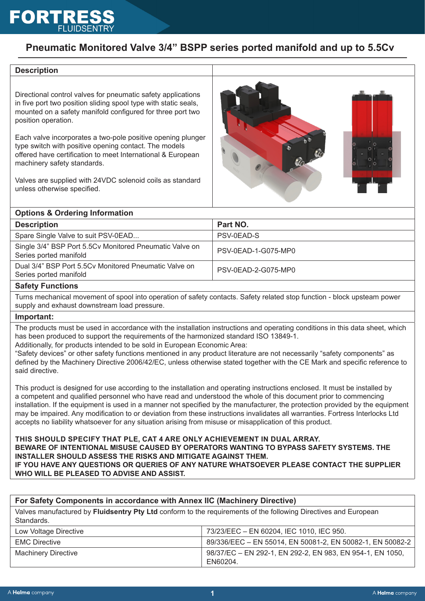## **Pneumatic Monitored Valve 3/4" BSPP series ported manifold and up to 5.5Cv**

#### **Description**

Directional control valves for pneumatic safety applications in five port two position sliding spool type with static seals, mounted on a safety manifold configured for three port two position operation.

Each valve incorporates a two-pole positive opening plunger type switch with positive opening contact. The models offered have certification to meet International & European machinery safety standards.

Valves are supplied with 24VDC solenoid coils as standard unless otherwise specified.



#### **Options & Ordering Information**

| <b>Description</b>                                                                | Part NO.            |
|-----------------------------------------------------------------------------------|---------------------|
| Spare Single Valve to suit PSV-0EAD                                               | PSV-0EAD-S          |
| Single 3/4" BSP Port 5.5Cv Monitored Pneumatic Valve on<br>Series ported manifold | PSV-0EAD-1-G075-MP0 |
| Dual 3/4" BSP Port 5.5Cy Monitored Pneumatic Valve on<br>Series ported manifold   | PSV-0EAD-2-G075-MP0 |
| Oafah - Emaalisma                                                                 |                     |

#### **Safety Functions**

Turns mechanical movement of spool into operation of safety contacts. Safety related stop function - block upsteam power supply and exhaust downstream load pressure.

#### **Important:**

The products must be used in accordance with the installation instructions and operating conditions in this data sheet, which has been produced to support the requirements of the harmonized standard ISO 13849-1.

Additionally, for products intended to be sold in European Economic Area:

"Safety devices" or other safety functions mentioned in any product literature are not necessarily "safety components" as defined by the Machinery Directive 2006/42/EC, unless otherwise stated together with the CE Mark and specific reference to said directive.

This product is designed for use according to the installation and operating instructions enclosed. It must be installed by a competent and qualified personnel who have read and understood the whole of this document prior to commencing installation. If the equipment is used in a manner not specified by the manufacturer, the protection provided by the equipment may be impaired. Any modification to or deviation from these instructions invalidates all warranties. Fortress Interlocks Ltd accepts no liability whatsoever for any situation arising from misuse or misapplication of this product.

#### **THIS SHOULD SPECIFY THAT PLE, CAT 4 ARE ONLY ACHIEVEMENT IN DUAL ARRAY.**

**BEWARE OF INTENTIONAL MISUSE CAUSED BY OPERATORS WANTING TO BYPASS SAFETY SYSTEMS. THE INSTALLER SHOULD ASSESS THE RISKS AND MITIGATE AGAINST THEM.**

**IF YOU HAVE ANY QUESTIONS OR QUERIES OF ANY NATURE WHATSOEVER PLEASE CONTACT THE SUPPLIER WHO WILL BE PLEASED TO ADVISE AND ASSIST.**

| For Safety Components in accordance with Annex IIC (Machinery Directive)                                                      |                                                                       |
|-------------------------------------------------------------------------------------------------------------------------------|-----------------------------------------------------------------------|
| Valves manufactured by Fluidsentry Pty Ltd conform to the requirements of the following Directives and European<br>Standards. |                                                                       |
| Low Voltage Directive                                                                                                         | 73/23/EEC - EN 60204, IEC 1010, IEC 950.                              |
| <b>EMC Directive</b>                                                                                                          | 89/336/EEC - EN 55014, EN 50081-2, EN 50082-1, EN 50082-2             |
| <b>Machinery Directive</b>                                                                                                    | 98/37/EC - EN 292-1, EN 292-2, EN 983, EN 954-1, EN 1050,<br>EN60204. |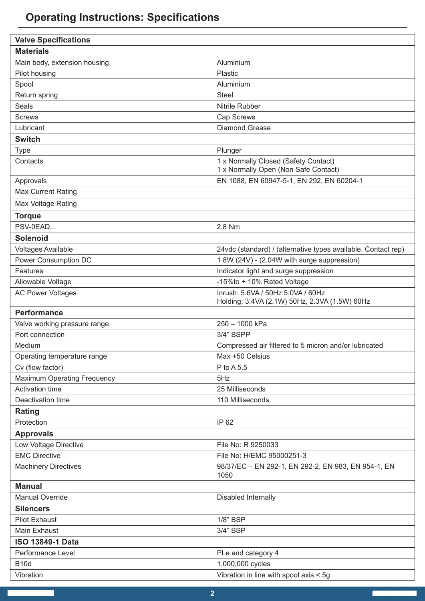# **Operating Instructions: Specifications**

| <b>Valve Specifications</b>        |                                                               |  |
|------------------------------------|---------------------------------------------------------------|--|
| <b>Materials</b>                   |                                                               |  |
| Main body, extension housing       | Aluminium                                                     |  |
| Pilot housing                      | Plastic                                                       |  |
| Spool                              | Aluminium                                                     |  |
| Return spring                      | <b>Steel</b>                                                  |  |
| Seals                              | Nitrile Rubber                                                |  |
| <b>Screws</b>                      | Cap Screws                                                    |  |
| Lubricant                          | <b>Diamond Grease</b>                                         |  |
| <b>Switch</b>                      |                                                               |  |
| <b>Type</b>                        | Plunger                                                       |  |
| Contacts                           | 1 x Normally Closed (Safety Contact)                          |  |
|                                    | 1 x Normally Open (Non Safe Contact)                          |  |
| Approvals                          | EN 1088, EN 60947-5-1, EN 292, EN 60204-1                     |  |
| <b>Max Current Rating</b>          |                                                               |  |
| Max Voltage Rating                 |                                                               |  |
| <b>Torque</b>                      |                                                               |  |
| PSV-0EAD                           | 2.8 Nm                                                        |  |
| <b>Solenoid</b>                    |                                                               |  |
| Voltages Available                 | 24vdc (standard) / (alternative types available. Contact rep) |  |
| Power Consumption DC               | 1.8W (24V) - (2.04W with surge suppression)                   |  |
| Features                           | Indicator light and surge suppression                         |  |
| Allowable Voltage                  | -15%to + 10% Rated Voltage                                    |  |
| <b>AC Power Voltages</b>           | Inrush: 5.6VA / 50Hz 5.0VA / 60Hz                             |  |
|                                    | Holding: 3.4VA (2.1W) 50Hz, 2.3VA (1.5W) 60Hz                 |  |
| <b>Performance</b>                 |                                                               |  |
| Valve working pressure range       | 250 - 1000 kPa                                                |  |
| Port connection                    | 3/4" BSPP                                                     |  |
| Medium                             | Compressed air filtered to 5 micron and/or lubricated         |  |
| Operating temperature range        | Max +50 Celsius                                               |  |
| Cv (flow factor)                   | $P$ to A 5.5                                                  |  |
| <b>Maximum Operating Frequency</b> | 5Hz                                                           |  |
| <b>Activation time</b>             | 25 Milliseconds                                               |  |
| Deactivation time                  | 110 Milliseconds                                              |  |
| <b>Rating</b>                      |                                                               |  |
| Protection                         | IP 62                                                         |  |
| <b>Approvals</b>                   |                                                               |  |
| Low Voltage Directive              | File No: R 9250033                                            |  |
| <b>EMC Directive</b>               | File No: H/EMC 95000251-3                                     |  |
| <b>Machinery Directives</b>        | 98/37/EC - EN 292-1, EN 292-2, EN 983, EN 954-1, EN           |  |
|                                    | 1050                                                          |  |
| <b>Manual</b>                      |                                                               |  |
| <b>Manual Override</b>             | Disabled Internally                                           |  |
| <b>Silencers</b>                   |                                                               |  |
| <b>Pilot Exhaust</b>               | 1/8" BSP                                                      |  |
| Main Exhaust                       | 3/4" BSP                                                      |  |
| <b>ISO 13849-1 Data</b>            |                                                               |  |
| Performance Level                  | PLe and category 4                                            |  |
| <b>B10d</b>                        | 1,000,000 cycles                                              |  |
| Vibration                          | Vibration in line with spool axis < 5g                        |  |

Г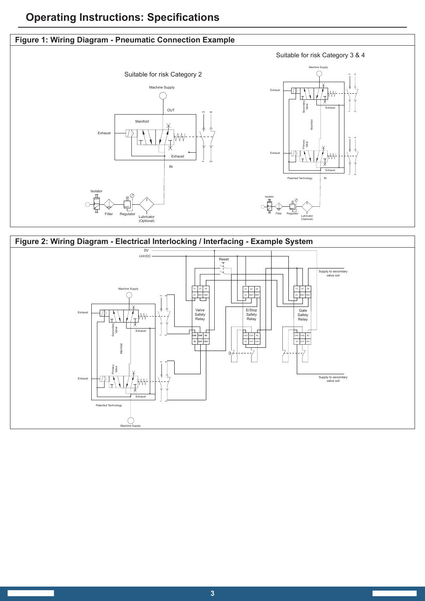# **Operating Instructions: Specifications**

### **Figure 1: Wiring Diagram - Pneumatic Connection Example**



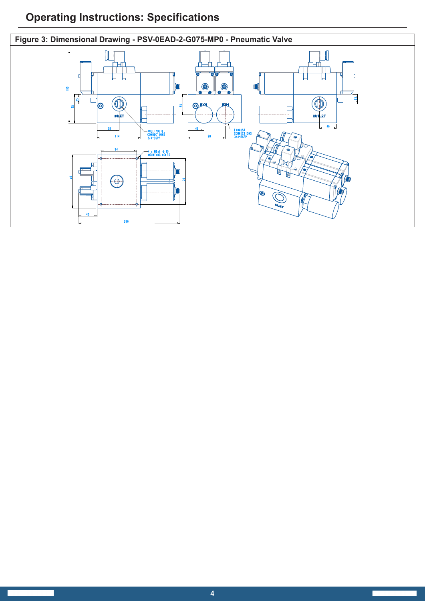# **Operating Instructions: Specifications**